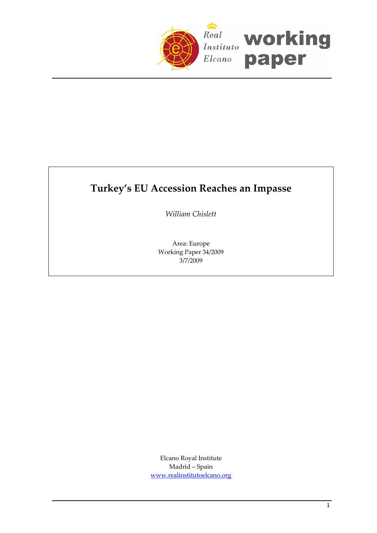

# **Turkey's EU Accession Reaches an Impasse**

*William Chislett*

Area: Europe Working Paper 34/2009 3/7/2009

Elcano Royal Institute Madrid – Spain www.realinstitutoelcano.org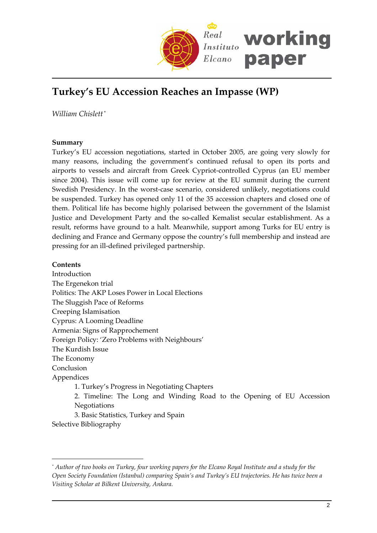

# **Turkey's EU Accession Reaches an Impasse (WP)**

*William Chislett* [\\*](#page-1-0)

# **Summary**

Turkey's EU accession negotiations, started in October 2005, are going very slowly for many reasons, including the government's continued refusal to open its ports and airports to vessels and aircraft from Greek Cypriot‐controlled Cyprus (an EU member since 2004). This issue will come up for review at the EU summit during the current Swedish Presidency. In the worst-case scenario, considered unlikely, negotiations could be suspended. Turkey has opened only 11 of the 35 accession chapters and closed one of them. Political life has become highly polarised between the government of the Islamist Justice and Development Party and the so-called Kemalist secular establishment. As a result, reforms have ground to a halt. Meanwhile, support among Turks for EU entry is declining and France and Germany oppose the country's full membership and instead are pressing for an ill‐defined privileged partnership.

# **Contents**

 $\overline{a}$ 

Introduction The Ergenekon trial Politics: The AKP Loses Power in Local Elections The Sluggish Pace of Reforms Creeping Islamisation Cyprus: A Looming Deadline Armenia: Signs of Rapprochement Foreign Policy: 'Zero Problems with Neighbours' The Kurdish Issue The Economy Conclusion Appendices 1. Turkey's Progress in Negotiating Chapters 2. Timeline: The Long and Winding Road to the Opening of EU Accession Negotiations 3. Basic Statistics, Turkey and Spain Selective Bibliography

<span id="page-1-0"></span><sup>\*</sup> Author of two books on Turkey, four working papers for the Elcano Royal Institute and a study for the *Open Society Foundation (Istanbul) comparing Spain's and Turkey's EU trajectories. He has twice been a Visiting Scholar at Bilkent University, Ankara.*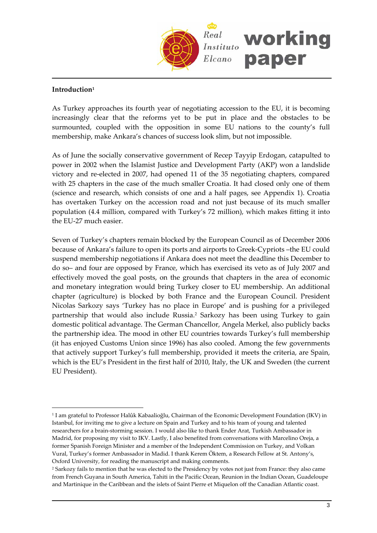

# **Introduction[1](#page-2-0)**

 $\overline{a}$ 

As Turkey approaches its fourth year of negotiating accession to the EU, it is becoming increasingly clear that the reforms yet to be put in place and the obstacles to be surmounted, coupled with the opposition in some EU nations to the county's full membership, make Ankara's chances of success look slim, but not impossible.

As of June the socially conservative government of Recep Tayyip Erdogan, catapulted to power in 2002 when the Islamist Justice and Development Party (AKP) won a landslide victory and re‐elected in 2007, had opened 11 of the 35 negotiating chapters, compared with 25 chapters in the case of the much smaller Croatia. It had closed only one of them (science and research, which consists of one and a half pages, see Appendix 1). Croatia has overtaken Turkey on the accession road and not just because of its much smaller population (4.4 million, compared with Turkey's 72 million), which makes fitting it into the EU‐27 much easier.

Seven of Turkey's chapters remain blocked by the European Council as of December 2006 because of Ankara's failure to open its ports and airports to Greek‐Cypriots –the EU could suspend membership negotiations if Ankara does not meet the deadline this December to do so– and four are opposed by France, which has exercised its veto as of July 2007 and effectively moved the goal posts, on the grounds that chapters in the area of economic and monetary integration would bring Turkey closer to EU membership. An additional chapter (agriculture) is blocked by both France and the European Council. President Nicolas Sarkozy says 'Turkey has no place in Europe' and is pushing for a privileged partnership that would also include Russia.[2](#page-2-1) Sarkozy has been using Turkey to gain domestic political advantage. The German Chancellor, Angela Merkel, also publicly backs the partnership idea. The mood in other EU countries towards Turkey's full membership (it has enjoyed Customs Union since 1996) has also cooled. Among the few governments that actively support Turkey's full membership, provided it meets the criteria, are Spain, which is the EU's President in the first half of 2010, Italy, the UK and Sweden (the current EU President).

<span id="page-2-0"></span><sup>1</sup> I am grateful to Professor Halûk Kabaalioğlu, Chairman of the Economic Development Foundation (IKV) in Istanbul, for inviting me to give a lecture on Spain and Turkey and to his team of young and talented researchers for a brain‐storming session. I would also like to thank Ender Arat, Turkish Ambassador in Madrid, for proposing my visit to IKV. Lastly, I also benefited from conversations with Marcelino Oreja, a former Spanish Foreign Minister and a member of the Independent Commission on Turkey, and Volkan Vural, Turkey's former Ambassador in Madid. I thank Kerem Öktem, a Research Fellow at St. Antony's, Oxford University, for reading the manuscript and making comments.

<span id="page-2-1"></span><sup>2</sup> Sarkozy fails to mention that he was elected to the Presidency by votes not just from France: they also came from French Guyana in South America, Tahiti in the Pacific Ocean, Reunion in the Indian Ocean, Guadeloupe and Martinique in the Caribbean and the islets of Saint Pierre et Miquelon off the Canadian Atlantic coast.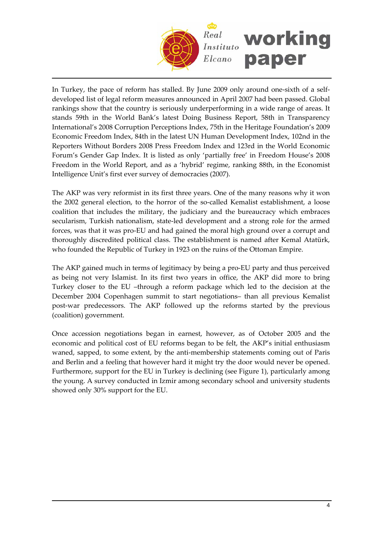

In Turkey, the pace of reform has stalled. By June 2009 only around one‐sixth of a self‐ developed list of legal reform measures announced in April 2007 had been passed. Global rankings show that the country is seriously underperforming in a wide range of areas. It stands 59th in the World Bank's latest Doing Business Report, 58th in Transparency International's 2008 Corruption Perceptions Index, 75th in the Heritage Foundation's 2009 Economic Freedom Index, 84th in the latest UN Human Development Index, 102nd in the Reporters Without Borders 2008 Press Freedom Index and 123rd in the World Economic Forum's Gender Gap Index. It is listed as only 'partially free' in Freedom House's 2008 Freedom in the World Report, and as a 'hybrid' regime, ranking 88th, in the Economist Intelligence Unit's first ever survey of democracies (2007).

The AKP was very reformist in its first three years. One of the many reasons why it won the 2002 general election, to the horror of the so-called Kemalist establishment, a loose coalition that includes the military, the judiciary and the bureaucracy which embraces secularism, Turkish nationalism, state-led development and a strong role for the armed forces, was that it was pro‐EU and had gained the moral high ground over a corrupt and thoroughly discredited political class. The establishment is named after Kemal Atatürk, who founded the Republic of Turkey in 1923 on the ruins of the Ottoman Empire.

The AKP gained much in terms of legitimacy by being a pro‐EU party and thus perceived as being not very Islamist. In its first two years in office, the AKP did more to bring Turkey closer to the EU –through a reform package which led to the decision at the December 2004 Copenhagen summit to start negotiations– than all previous Kemalist post-war predecessors. The AKP followed up the reforms started by the previous (coalition) government.

Once accession negotiations began in earnest, however, as of October 2005 and the economic and political cost of EU reforms began to be felt, the AKP's initial enthusiasm waned, sapped, to some extent, by the anti-membership statements coming out of Paris and Berlin and a feeling that however hard it might try the door would never be opened. Furthermore, support for the EU in Turkey is declining (see Figure 1), particularly among the young. A survey conducted in Izmir among secondary school and university students showed only 30% support for the EU.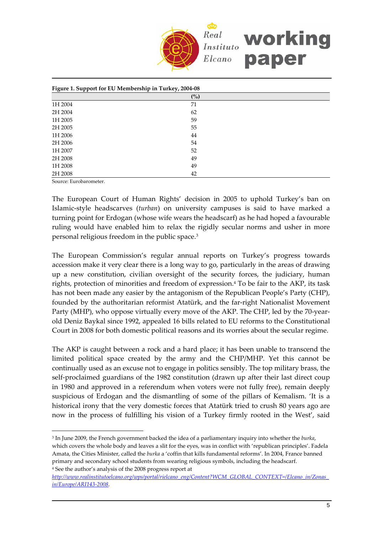

| Figure 1. Support for EU Membership in Turkey, 2004-08 |     |  |
|--------------------------------------------------------|-----|--|
|                                                        | (%) |  |
| 1H 2004                                                | 71  |  |
| 2H 2004                                                | 62  |  |
| 1H 2005                                                | 59  |  |
| 2H 2005                                                | 55  |  |
| 1H 2006                                                | 44  |  |
| 2H 2006                                                | 54  |  |
| 1H 2007                                                | 52  |  |
| 2H 2008                                                | 49  |  |
| 1H 2008                                                | 49  |  |
| 2H 2008                                                | 42  |  |

Source: Eurobarometer.

 $\overline{a}$ 

The European Court of Human Rights' decision in 2005 to uphold Turkey's ban on Islamic‐style headscarves (*turban*) on university campuses is said to have marked a turning point for Erdogan (whose wife wears the headscarf) as he had hoped a favourable ruling would have enabled him to relax the rigidly secular norms and usher in more personal religious freedom in the public space.[3](#page-4-0)

The European Commission's regular annual reports on Turkey's progress towards accession make it very clear there is a long way to go, particularly in the areas of drawing up a new constitution, civilian oversight of the security forces, the judiciary, human rights, protection of minorities and freedom of expression.[4](#page-4-1) To be fair to the AKP, its task has not been made any easier by the antagonism of the Republican People's Party (CHP), founded by the authoritarian reformist Atatürk, and the far‐right Nationalist Movement Party (MHP), who oppose virtually every move of the AKP. The CHP, led by the 70‐year‐ old Deniz Baykal since 1992, appealed 16 bills related to EU reforms to the Constitutional Court in 2008 for both domestic political reasons and its worries about the secular regime.

The AKP is caught between a rock and a hard place; it has been unable to transcend the limited political space created by the army and the CHP/MHP. Yet this cannot be continually used as an excuse not to engage in politics sensibly. The top military brass, the self-proclaimed guardians of the 1982 constitution (drawn up after their last direct coup in 1980 and approved in a referendum when voters were not fully free), remain deeply suspicious of Erdogan and the dismantling of some of the pillars of Kemalism. 'It is a historical irony that the very domestic forces that Atatürk tried to crush 80 years ago are now in the process of fulfilling his vision of a Turkey firmly rooted in the West', said

<span id="page-4-0"></span><sup>3</sup> In June 2009, the French government backed the idea of a parliamentary inquiry into whether the *burka*, which covers the whole body and leaves a slit for the eyes, was in conflict with 'republican principles'. Fadela Amata, the Cities Minister, called the *burka* a 'coffin that kills fundamental reforms'. In 2004, France banned primary and secondary school students from wearing religious symbols, including the headscarf. <sup>4</sup> See the author's analysis of the 2008 progress report at

<span id="page-4-1"></span>*http://www.realinstitutoelcano.org/wps/portal/rielcano\_eng/Content?WCM\_GLOBAL\_CONTEXT=/Elcano\_in/Zonas\_ in/Europe/ARI143‐2008*.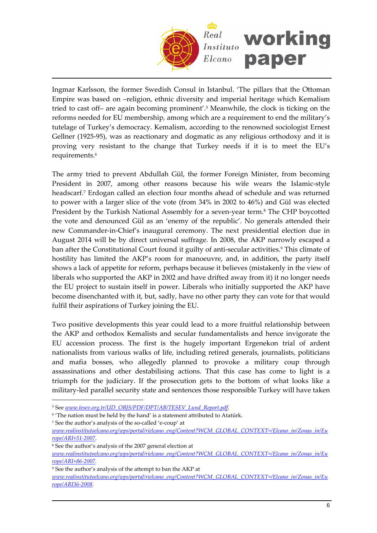

Ingmar Karlsson, the former Swedish Consul in Istanbul. 'The pillars that the Ottoman Empire was based on –religion, ethnic diversity and imperial heritage which Kemalism tried to cast off– are again becoming prominent'.[5](#page-5-0) Meanwhile, the clock is ticking on the reforms needed for EU membership, among which are a requirement to end the military's tutelage of Turkey's democracy. Kemalism, according to the renowned sociologist Ernest Gellner (1925‐95), was as reactionary and dogmatic as any religious orthodoxy and it is proving very resistant to the change that Turkey needs if it is to meet the EU's requirements.<sup>[6](#page-5-1)</sup>

The army tried to prevent Abdullah Gül, the former Foreign Minister, from becoming President in 2007, among other reasons because his wife wears the Islamic-style headscarf.[7](#page-5-2) Erdogan called an election four months ahead of schedule and was returned to power with a larger slice of the vote (from 34% in 2002 to 46%) and Gül was elected President by the Turkish National Assembly for a seven-year term.<sup>8</sup> The CHP boycotted the vote and denounced Gül as an 'enemy of the republic'. No generals attended their new Commander‐in‐Chief's inaugural ceremony. The next presidential election due in August 2014 will be by direct universal suffrage. In 2008, the AKP narrowly escaped a ban after the Constitutional Court found it guilty of anti-secular activities.<sup>[9](#page-5-4)</sup> This climate of hostility has limited the AKP's room for manoeuvre, and, in addition, the party itself shows a lack of appetite for reform, perhaps because it believes (mistakenly in the view of liberals who supported the AKP in 2002 and have drifted away from it) it no longer needs the EU project to sustain itself in power. Liberals who initially supported the AKP have become disenchanted with it, but, sadly, have no other party they can vote for that would fulfil their aspirations of Turkey joining the EU.

Two positive developments this year could lead to a more fruitful relationship between the AKP and orthodox Kemalists and secular fundamentalists and hence invigorate the EU accession process. The first is the hugely important Ergenekon trial of ardent nationalists from various walks of life, including retired generals, journalists, politicians and mafia bosses, who allegedly planned to provoke a military coup through assassinations and other destabilising actions. That this case has come to light is a triumph for the judiciary. If the prosecution gets to the bottom of what looks like a military‐led parallel security state and sentences those responsible Turkey will have taken

<span id="page-5-0"></span><sup>5</sup> See *www.tesev.org.tr/UD\_OBJS/PDF/DPT/AB/TESEV\_Lund\_Report.pdf*.

<span id="page-5-1"></span><sup>&</sup>lt;sup>6</sup> 'The nation must be held by the hand' is a statement attributed to Atatürk.

<span id="page-5-2"></span><sup>7</sup> See the author's analysis of the so‐called 'e‐coup' at *www.realinstitutoelcano.org/wps/portal/rielcano\_eng/Content?WCM\_GLOBAL\_CONTEXT=/Elcano\_in/Zonas\_in/Eu*

*rope/ARI+51‐2007*.

<span id="page-5-3"></span><sup>8</sup> See the author's analysis of the 2007 general election at

*www.realinstitutoelcano.org/wps/portal/rielcano\_eng/Content?WCM\_GLOBAL\_CONTEXT=/Elcano\_in/Zonas\_in/Eu rope/ARI+86‐2007.*

<span id="page-5-4"></span><sup>9</sup> See the author's analysis of the attempt to ban the AKP at

*www.realinstitutoelcano.org/wps/portal/rielcano\_eng/Content?WCM\_GLOBAL\_CONTEXT=/Elcano\_in/Zonas\_in/Eu rope/ARI36‐2008.*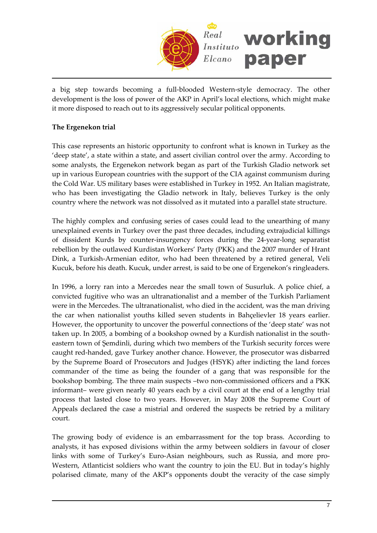

a big step towards becoming a full‐blooded Western‐style democracy. The other development is the loss of power of the AKP in April's local elections, which might make it more disposed to reach out to its aggressively secular political opponents.

# **The Ergenekon trial**

This case represents an historic opportunity to confront what is known in Turkey as the 'deep state', a state within a state, and assert civilian control over the army. According to some analysts, the Ergenekon network began as part of the Turkish Gladio network set up in various European countries with the support of the CIA against communism during the Cold War. US military bases were established in Turkey in 1952. An Italian magistrate, who has been investigating the Gladio network in Italy, believes Turkey is the only country where the network was not dissolved as it mutated into a parallel state structure.

The highly complex and confusing series of cases could lead to the unearthing of many unexplained events in Turkey over the past three decades, including extrajudicial killings of dissident Kurds by counter‐insurgency forces during the 24‐year‐long separatist rebellion by the outlawed Kurdistan Workers' Party (PKK) and the 2007 murder of Hrant Dink, a Turkish‐Armenian editor, who had been threatened by a retired general, Veli Kucuk, before his death. Kucuk, under arrest, is said to be one of Ergenekon's ringleaders.

In 1996, a lorry ran into a Mercedes near the small town of Susurluk. A police chief, a convicted fugitive who was an ultranationalist and a member of the Turkish Parliament were in the Mercedes. The ultranationalist, who died in the accident, was the man driving the car when nationalist youths killed seven students in Bahçelievler 18 years earlier. However, the opportunity to uncover the powerful connections of the 'deep state' was not taken up. In 2005, a bombing of a bookshop owned by a Kurdish nationalist in the south‐ eastern town of Şemdinli, during which two members of the Turkish security forces were caught red‐handed, gave Turkey another chance. However, the prosecutor was disbarred by the Supreme Board of Prosecutors and Judges (HSYK) after indicting the land forces commander of the time as being the founder of a gang that was responsible for the bookshop bombing. The three main suspects –two non‐commissioned officers and a PKK informant– were given nearly 40 years each by a civil court at the end of a lengthy trial process that lasted close to two years. However, in May 2008 the Supreme Court of Appeals declared the case a mistrial and ordered the suspects be retried by a military court.

The growing body of evidence is an embarrassment for the top brass. According to analysts, it has exposed divisions within the army between soldiers in favour of closer links with some of Turkey's Euro‐Asian neighbours, such as Russia, and more pro‐ Western, Atlanticist soldiers who want the country to join the EU. But in today's highly polarised climate, many of the AKP's opponents doubt the veracity of the case simply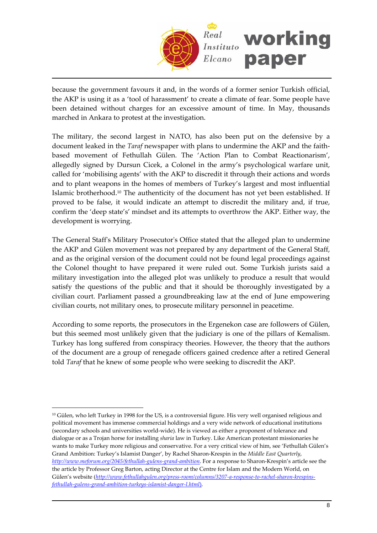

because the government favours it and, in the words of a former senior Turkish official, the AKP is using it as a 'tool of harassment' to create a climate of fear. Some people have been detained without charges for an excessive amount of time. In May, thousands marched in Ankara to protest at the investigation.

The military, the second largest in NATO, has also been put on the defensive by a document leaked in the *Taraf* newspaper with plans to undermine the AKP and the faith‐ based movement of Fethullah Gülen. The 'Action Plan to Combat Reactionarism', allegedly signed by Dursun Cicek, a Colonel in the army's psychological warfare unit, called for 'mobilising agents' with the AKP to discredit it through their actions and words and to plant weapons in the homes of members of Turkey's largest and most influential Islamic brotherhood.[10](#page-7-0) The authenticity of the document has not yet been established. If proved to be false, it would indicate an attempt to discredit the military and, if true, confirm the 'deep state's' mindset and its attempts to overthrow the AKP. Either way, the development is worrying.

The General Staff's Military Prosecutor's Office stated that the alleged plan to undermine the AKP and Gülen movement was not prepared by any department of the General Staff, and as the original version of the document could not be found legal proceedings against the Colonel thought to have prepared it were ruled out. Some Turkish jurists said a military investigation into the alleged plot was unlikely to produce a result that would satisfy the questions of the public and that it should be thoroughly investigated by a civilian court. Parliament passed a groundbreaking law at the end of June empowering civilian courts, not military ones, to prosecute military personnel in peacetime.

According to some reports, the prosecutors in the Ergenekon case are followers of Gülen, but this seemed most unlikely given that the judiciary is one of the pillars of Kemalism. Turkey has long suffered from conspiracy theories. However, the theory that the authors of the document are a group of renegade officers gained credence after a retired General told *Taraf* that he knew of some people who were seeking to discredit the AKP.

<span id="page-7-0"></span><sup>10</sup> Gülen, who left Turkey in 1998 for the US, is a controversial figure. His very well organised religious and political movement has immense commercial holdings and a very wide network of educational institutions (secondary schools and universities world‐wide). He is viewed as either a proponent of tolerance and dialogue or as a Trojan horse for installing *sharia* law in Turkey. Like American protestant missionaries he wants to make Turkey more religious and conservative. For a very critical view of him, see 'Fethullah Gülen's Grand Ambition: Turkey's Islamist Danger', by Rachel Sharon‐Krespin in the *Middle East Quarterly*, *http://www.meforum.org/2045/fethullah‐gulens‐grand‐ambition*. For a response to Sharon‐Krespin's article see the the article by Professor Greg Barton, acting Director at the Centre for Islam and the Modern World, on Gülen's website (*http://www.fethullahgulen.org/press‐room/columns/3207‐a‐response‐to‐rachel‐sharon‐krespins‐ fethullah‐gulens‐grand‐ambition‐turkeys‐islamist‐danger‐l.html*).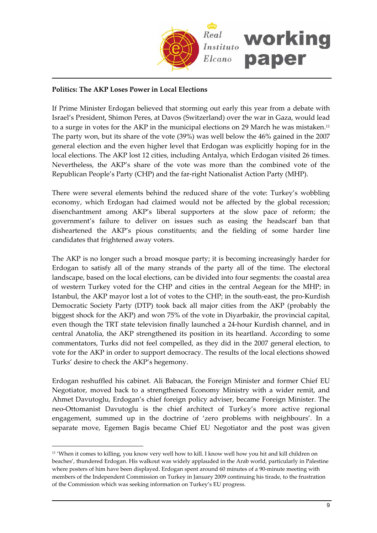

# **Politics: The AKP Loses Power in Local Elections**

If Prime Minister Erdogan believed that storming out early this year from a debate with Israel's President, Shimon Peres, at Davos (Switzerland) over the war in Gaza, would lead to a surge in votes for the AKP in the municipal elections on 29 March he was mistaken[.11](#page-8-0) The party won, but its share of the vote (39%) was well below the 46% gained in the 2007 general election and the even higher level that Erdogan was explicitly hoping for in the local elections. The AKP lost 12 cities, including Antalya, which Erdogan visited 26 times. Nevertheless, the AKP's share of the vote was more than the combined vote of the Republican People's Party (CHP) and the far‐right Nationalist Action Party (MHP).

There were several elements behind the reduced share of the vote: Turkey's wobbling economy, which Erdogan had claimed would not be affected by the global recession; disenchantment among AKP's liberal supporters at the slow pace of reform; the government's failure to deliver on issues such as easing the headscarf ban that disheartened the AKP's pious constituents; and the fielding of some harder line candidates that frightened away voters.

The AKP is no longer such a broad mosque party; it is becoming increasingly harder for Erdogan to satisfy all of the many strands of the party all of the time. The electoral landscape, based on the local elections, can be divided into four segments: the coastal area of western Turkey voted for the CHP and cities in the central Aegean for the MHP; in Istanbul, the AKP mayor lost a lot of votes to the CHP; in the south‐east, the pro‐Kurdish Democratic Society Party (DTP) took back all major cities from the AKP (probably the biggest shock for the AKP) and won 75% of the vote in Diyarbakir, the provincial capital, even though the TRT state television finally launched a 24‐hour Kurdish channel, and in central Anatolia, the AKP strengthened its position in its heartland. According to some commentators, Turks did not feel compelled, as they did in the 2007 general election, to vote for the AKP in order to support democracy. The results of the local elections showed Turks' desire to check the AKP's hegemony.

Erdogan reshuffled his cabinet. Ali Babacan, the Foreign Minister and former Chief EU Negotiator, moved back to a strengthened Economy Ministry with a wider remit, and Ahmet Davutoglu, Erdogan's chief foreign policy adviser, became Foreign Minister. The neo‐Ottomanist Davutoglu is the chief architect of Turkey's more active regional engagement, summed up in the doctrine of 'zero problems with neighbours'. In a separate move, Egemen Bagis became Chief EU Negotiator and the post was given

<span id="page-8-0"></span><sup>11</sup> 'When it comes to killing, you know very well how to kill. I know well how you hit and kill children on beaches', thundered Erdogan. His walkout was widely applauded in the Arab world, particularly in Palestine where posters of him have been displayed. Erdogan spent around 60 minutes of a 90-minute meeting with members of the Independent Commission on Turkey in January 2009 continuing his tirade, to the frustration of the Commission which was seeking information on Turkey's EU progress.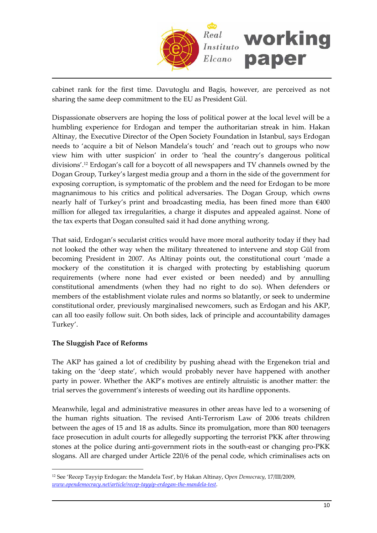

cabinet rank for the first time. Davutoglu and Bagis, however, are perceived as not sharing the same deep commitment to the EU as President Gül.

Dispassionate observers are hoping the loss of political power at the local level will be a humbling experience for Erdogan and temper the authoritarian streak in him. Hakan Altinay, the Executive Director of the Open Society Foundation in Istanbul, says Erdogan needs to 'acquire a bit of Nelson Mandela's touch' and 'reach out to groups who now view him with utter suspicion' in order to 'heal the country's dangerous political divisions'.[12](#page-9-0) Erdogan's call for a boycott of all newspapers and TV channels owned by the Dogan Group, Turkey's largest media group and a thorn in the side of the government for exposing corruption, is symptomatic of the problem and the need for Erdogan to be more magnanimous to his critics and political adversaries. The Dogan Group, which owns nearly half of Turkey's print and broadcasting media, has been fined more than €400 million for alleged tax irregularities, a charge it disputes and appealed against. None of the tax experts that Dogan consulted said it had done anything wrong.

That said, Erdogan's secularist critics would have more moral authority today if they had not looked the other way when the military threatened to intervene and stop Gül from becoming President in 2007. As Altinay points out, the constitutional court 'made a mockery of the constitution it is charged with protecting by establishing quorum requirements (where none had ever existed or been needed) and by annulling constitutional amendments (when they had no right to do so). When defenders or members of the establishment violate rules and norms so blatantly, or seek to undermine constitutional order, previously marginalised newcomers, such as Erdogan and his AKP, can all too easily follow suit. On both sides, lack of principle and accountability damages Turkey'.

# **The Sluggish Pace of Reforms**

 $\overline{a}$ 

The AKP has gained a lot of credibility by pushing ahead with the Ergenekon trial and taking on the 'deep state', which would probably never have happened with another party in power. Whether the AKP's motives are entirely altruistic is another matter: the trial serves the government's interests of weeding out its hardline opponents.

Meanwhile, legal and administrative measures in other areas have led to a worsening of the human rights situation. The revised Anti‐Terrorism Law of 2006 treats children between the ages of 15 and 18 as adults. Since its promulgation, more than 800 teenagers face prosecution in adult courts for allegedly supporting the terrorist PKK after throwing stones at the police during anti‐government riots in the south‐east or changing pro‐PKK slogans. All are charged under Article 220/6 of the penal code, which criminalises acts on

<span id="page-9-0"></span><sup>12</sup> See 'Recep Tayyip Erdogan: the Mandela Test', by Hakan Altinay, O*pen Democracy*, 17/III/2009, *www.opendemocracy.net/article/recep‐tayyip‐erdogan‐the‐mandela‐test*.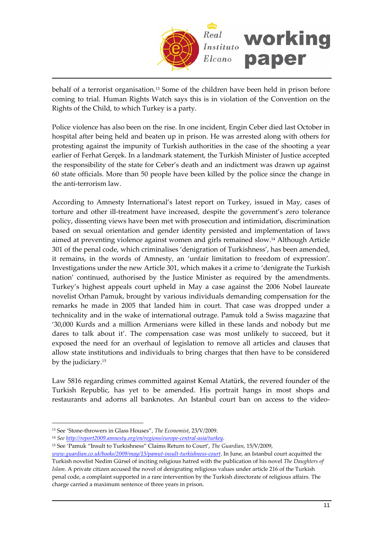

behalf of a terrorist organisation.[13](#page-10-0) Some of the children have been held in prison before coming to trial. Human Rights Watch says this is in violation of the Convention on the Rights of the Child, to which Turkey is a party.

Police violence has also been on the rise. In one incident, Engin Ceber died last October in hospital after being held and beaten up in prison. He was arrested along with others for protesting against the impunity of Turkish authorities in the case of the shooting a year earlier of Ferhat Gerçek. In a landmark statement, the Turkish Minister of Justice accepted the responsibility of the state for Ceber's death and an indictment was drawn up against 60 state officials. More than 50 people have been killed by the police since the change in the anti‐terrorism law.

According to Amnesty International's latest report on Turkey, issued in May, cases of torture and other ill-treatment have increased, despite the government's zero tolerance policy, dissenting views have been met with prosecution and intimidation, discrimination based on sexual orientation and gender identity persisted and implementation of laws aimed at preventing violence against women and girls remained slow.[14](#page-10-1) Although Article 301 of the penal code, which criminalises 'denigration of Turkishness', has been amended, it remains, in the words of Amnesty, an 'unfair limitation to freedom of expression'. Investigations under the new Article 301, which makes it a crime to 'denigrate the Turkish nation' continued, authorised by the Justice Minister as required by the amendments. Turkey's highest appeals court upheld in May a case against the 2006 Nobel laureate novelist Orhan Pamuk, brought by various individuals demanding compensation for the remarks he made in 2005 that landed him in court. That case was dropped under a technicality and in the wake of international outrage. Pamuk told a Swiss magazine that '30,000 Kurds and a million Armenians were killed in these lands and nobody but me dares to talk about it'. The compensation case was most unlikely to succeed, but it exposed the need for an overhaul of legislation to remove all articles and clauses that allow state institutions and individuals to bring charges that then have to be considered by the judiciary[.15](#page-10-2)

Law 5816 regarding crimes committed against Kemal Atatürk, the revered founder of the Turkish Republic, has yet to be amended. His portrait hangs in most shops and restaurants and adorns all banknotes. An Istanbul court ban on access to the video‐

<span id="page-10-0"></span><sup>13</sup> See 'Stone‐throwers in Glass Houses", *The Economist*, 23/V/2009.

<span id="page-10-1"></span><sup>14</sup> *See http://report2009.amnesty.org/en/regions/europe‐central‐asia/turkey*.

<span id="page-10-2"></span><sup>15</sup> See 'Pamuk "Insult to Turkishness" Claims Return to Court', *The Guardian*, 15/V/2009,

*www.guardian.co.uk/books/2009/may/15/pamut‐insult‐turkishness‐court*. In June, an Istanbul court acquitted the Turkish novelist Nedim Gürsel of inciting religious hatred with the publication of his novel *The Daughters of Islam.* A private citizen accused the novel of denigrating religious values under article 216 of the Turkish penal code, a complaint supported in a rare intervention by the Turkish directorate of religious affairs. The charge carried a maximum sentence of three years in prison.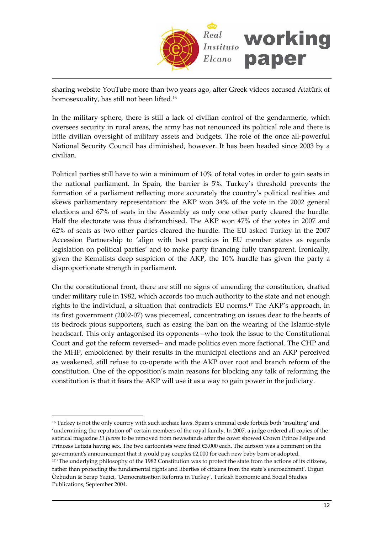

sharing website YouTube more than two years ago, after Greek videos accused Atatürk of homosexuality, has still not been lifted.<sup>[16](#page-11-0)</sup>

In the military sphere, there is still a lack of civilian control of the gendarmerie, which oversees security in rural areas, the army has not renounced its political role and there is little civilian oversight of military assets and budgets. The role of the once all-powerful National Security Council has diminished, however. It has been headed since 2003 by a civilian.

Political parties still have to win a minimum of 10% of total votes in order to gain seats in the national parliament. In Spain, the barrier is 5%. Turkey's threshold prevents the formation of a parliament reflecting more accurately the country's political realities and skews parliamentary representation: the AKP won 34% of the vote in the 2002 general elections and 67% of seats in the Assembly as only one other party cleared the hurdle. Half the electorate was thus disfranchised. The AKP won 47% of the votes in 2007 and 62% of seats as two other parties cleared the hurdle. The EU asked Turkey in the 2007 Accession Partnership to 'align with best practices in EU member states as regards legislation on political parties' and to make party financing fully transparent. Ironically, given the Kemalists deep suspicion of the AKP, the 10% hurdle has given the party a disproportionate strength in parliament.

On the constitutional front, there are still no signs of amending the constitution, drafted under military rule in 1982, which accords too much authority to the state and not enough rights to the individual, a situation that contradicts EU norms[.17](#page-11-1) The AKP's approach, in its first government (2002‐07) was piecemeal, concentrating on issues dear to the hearts of its bedrock pious supporters, such as easing the ban on the wearing of the Islamic‐style headscarf. This only antagonised its opponents –who took the issue to the Constitutional Court and got the reform reversed– and made politics even more factional. The CHP and the MHP, emboldened by their results in the municipal elections and an AKP perceived as weakened, still refuse to co-operate with the AKP over root and branch reform of the constitution. One of the opposition's main reasons for blocking any talk of reforming the constitution is that it fears the AKP will use it as a way to gain power in the judiciary.

<span id="page-11-1"></span><span id="page-11-0"></span><sup>16</sup> Turkey is not the only country with such archaic laws. Spain's criminal code forbids both 'insulting' and 'undermining the reputation of' certain members of the royal family. In 2007, a judge ordered all copies of the satirical magazine *El Jueves* to be removed from newsstands after the cover showed Crown Prince Felipe and Princess Letizia having sex. The two cartoonists were fined €3,000 each. The cartoon was a comment on the government's announcement that it would pay couples  $\epsilon$ 2,000 for each new baby born or adopted. <sup>17</sup> 'The underlying philosophy of the 1982 Constitution was to protect the state from the actions of its citizens, rather than protecting the fundamental rights and liberties of citizens from the state's encroachment'. Ergun Özbudun & Serap Yazici, 'Democratisation Reforms in Turkey', Turkish Economic and Social Studies Publications, September 2004.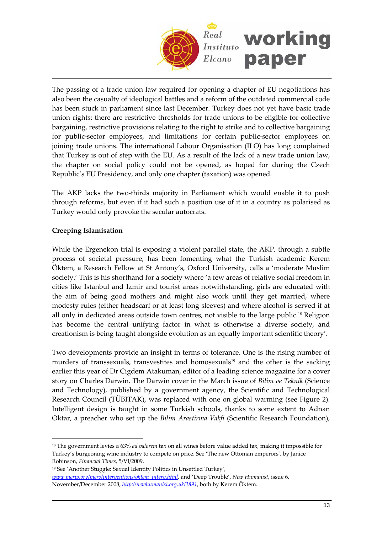

The passing of a trade union law required for opening a chapter of EU negotiations has also been the casualty of ideological battles and a reform of the outdated commercial code has been stuck in parliament since last December. Turkey does not yet have basic trade union rights: there are restrictive thresholds for trade unions to be eligible for collective bargaining, restrictive provisions relating to the right to strike and to collective bargaining for public-sector employees, and limitations for certain public-sector employees on joining trade unions. The international Labour Organisation (ILO) has long complained that Turkey is out of step with the EU. As a result of the lack of a new trade union law, the chapter on social policy could not be opened, as hoped for during the Czech Republic's EU Presidency, and only one chapter (taxation) was opened.

The AKP lacks the two-thirds majority in Parliament which would enable it to push through reforms, but even if it had such a position use of it in a country as polarised as Turkey would only provoke the secular autocrats.

# **Creeping Islamisation**

 $\overline{a}$ 

While the Ergenekon trial is exposing a violent parallel state, the AKP, through a subtle process of societal pressure, has been fomenting what the Turkish academic Kerem Öktem, a Research Fellow at St Antony's, Oxford University, calls a 'moderate Muslim society.' This is his shorthand for a society where 'a few areas of relative social freedom in cities like Istanbul and Izmir and tourist areas notwithstanding, girls are educated with the aim of being good mothers and might also work until they get married, where modesty rules (either headscarf or at least long sleeves) and where alcohol is served if at all only in dedicated areas outside town centres, not visible to the large public.[18](#page-12-0) Religion has become the central unifying factor in what is otherwise a diverse society, and creationism is being taught alongside evolution as an equally important scientific theory'.

Two developments provide an insight in terms of tolerance. One is the rising number of murders of transsexuals, transvestites and homosexuals<sup>[19](#page-12-1)</sup> and the other is the sacking earlier this year of Dr Cigdem Atakuman, editor of a leading science magazine for a cover story on Charles Darwin. The Darwin cover in the March issue of *Bilim ve Teknik* (Science and Technology), published by a government agency, the Scientific and Technological Research Council (TÜBITAK), was replaced with one on global warming (see Figure 2). Intelligent design is taught in some Turkish schools, thanks to some extent to Adnan Oktar, a preacher who set up the *Bilim Arastirma Vakfi* (Scientific Research Foundation),

<span id="page-12-0"></span><sup>18</sup> The government levies a 63% *ad valorem* tax on all wines before value added tax, making it impossible for Turkey's burgeoning wine industry to compete on price. See 'The new Ottoman emperors', by Janice Robinson, *Financial Times*, 5/VI/2009.

<span id="page-12-1"></span><sup>19</sup> See 'Another Stuggle: Sexual Identity Politics in Unsettled Turkey',

*www.merip.org/mero/interventions/oktem\_interv.html*, and 'Deep Trouble', *New Humanist*, issue 6, November/December 2008, *http://newhumanist.org.uk/1891*, both by Kerem Öktem.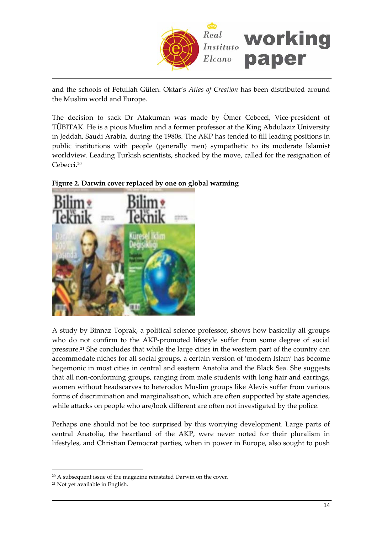

and the schools of Fetullah Gülen. Oktar's *Atlas of Creation* has been distributed around the Muslim world and Europe.

The decision to sack Dr Atakuman was made by Ömer Cebecci, Vice-president of TÜBITAK. He is a pious Muslim and a former professor at the King Abdulaziz University in Jeddah, Saudi Arabia, during the 1980s. The AKP has tended to fill leading positions in public institutions with people (generally men) sympathetic to its moderate Islamist worldview. Leading Turkish scientists, shocked by the move, called for the resignation of Cebecci.[20](#page-13-0)



**Figure 2. Darwin cover replaced by one on global warming**

A study by Binnaz Toprak, a political science professor, shows how basically all groups who do not confirm to the AKP‐promoted lifestyle suffer from some degree of social pressure.[21](#page-13-1) She concludes that while the large cities in the western part of the country can accommodate niches for all social groups, a certain version of 'modern Islam' has become hegemonic in most cities in central and eastern Anatolia and the Black Sea. She suggests that all non‐conforming groups, ranging from male students with long hair and earrings, women without headscarves to heterodox Muslim groups like Alevis suffer from various forms of discrimination and marginalisation, which are often supported by state agencies, while attacks on people who are/look different are often not investigated by the police.

Perhaps one should not be too surprised by this worrying development. Large parts of central Anatolia, the heartland of the AKP, were never noted for their pluralism in lifestyles, and Christian Democrat parties, when in power in Europe, also sought to push

<span id="page-13-0"></span><sup>&</sup>lt;sup>20</sup> A subsequent issue of the magazine reinstated Darwin on the cover.

<span id="page-13-1"></span><sup>21</sup> Not yet available in English.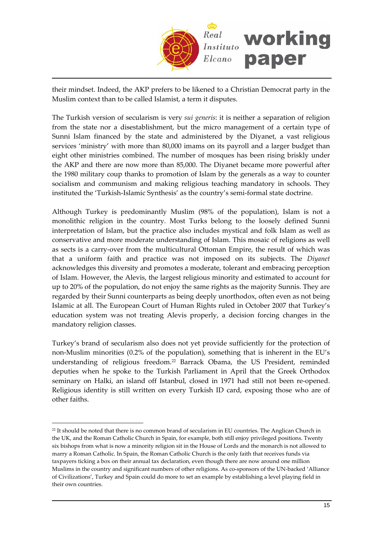

their mindset. Indeed, the AKP prefers to be likened to a Christian Democrat party in the Muslim context than to be called Islamist, a term it disputes.

The Turkish version of secularism is very *sui generis*: it is neither a separation of religion from the state nor a disestablishment, but the micro management of a certain type of Sunni Islam financed by the state and administered by the Diyanet, a vast religious services 'ministry' with more than 80,000 imams on its payroll and a larger budget than eight other ministries combined. The number of mosques has been rising briskly under the AKP and there are now more than 85,000. The Diyanet became more powerful after the 1980 military coup thanks to promotion of Islam by the generals as a way to counter socialism and communism and making religious teaching mandatory in schools. They instituted the 'Turkish‐Islamic Synthesis' as the country's semi‐formal state doctrine.

Although Turkey is predominantly Muslim (98% of the population), Islam is not a monolithic religion in the country. Most Turks belong to the loosely defined Sunni interpretation of Islam, but the practice also includes mystical and folk Islam as well as conservative and more moderate understanding of Islam. This mosaic of religions as well as sects is a carry‐over from the multicultural Ottoman Empire, the result of which was that a uniform faith and practice was not imposed on its subjects. The *Diyanet* acknowledges this diversity and promotes a moderate, tolerant and embracing perception of Islam. However, the Alevis, the largest religious minority and estimated to account for up to 20% of the population, do not enjoy the same rights as the majority Sunnis. They are regarded by their Sunni counterparts as being deeply unorthodox, often even as not being Islamic at all. The European Court of Human Rights ruled in October 2007 that Turkey's education system was not treating Alevis properly, a decision forcing changes in the mandatory religion classes.

Turkey's brand of secularism also does not yet provide sufficiently for the protection of non‐Muslim minorities (0.2% of the population), something that is inherent in the EU's understanding of religious freedom.[22](#page-14-0) Barrack Obama, the US President, reminded deputies when he spoke to the Turkish Parliament in April that the Greek Orthodox seminary on Halki, an island off Istanbul, closed in 1971 had still not been re-opened. Religious identity is still written on every Turkish ID card, exposing those who are of other faiths.

<span id="page-14-0"></span><sup>&</sup>lt;sup>22</sup> It should be noted that there is no common brand of secularism in EU countries. The Anglican Church in the UK, and the Roman Catholic Church in Spain, for example, both still enjoy privileged positions. Twenty six bishops from what is now a minority religion sit in the House of Lords and the monarch is not allowed to marry a Roman Catholic. In Spain, the Roman Catholic Church is the only faith that receives funds via taxpayers ticking a box on their annual tax declaration, even though there are now around one million Muslims in the country and significant numbers of other religions. As co-sponsors of the UN-backed 'Alliance of Civilizations', Turkey and Spain could do more to set an example by establishing a level playing field in their own countries.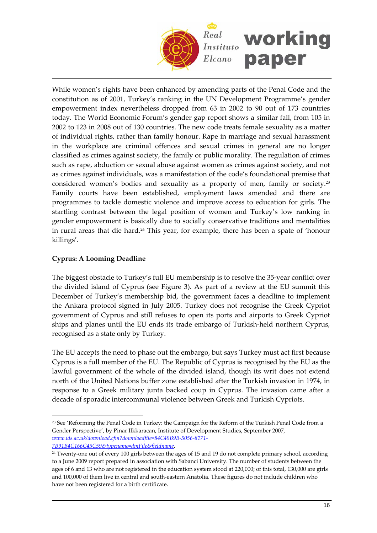

While women's rights have been enhanced by amending parts of the Penal Code and the constitution as of 2001, Turkey's ranking in the UN Development Programme's gender empowerment index nevertheless dropped from 63 in 2002 to 90 out of 173 countries today. The World Economic Forum's gender gap report shows a similar fall, from 105 in 2002 to 123 in 2008 out of 130 countries. The new code treats female sexuality as a matter of individual rights, rather than family honour. Rape in marriage and sexual harassment in the workplace are criminal offences and sexual crimes in general are no longer classified as crimes against society, the family or public morality. The regulation of crimes such as rape, abduction or sexual abuse against women as crimes against society, and not as crimes against individuals, was a manifestation of the code's foundational premise that considered women's bodies and sexuality as a property of men, family or society[.23](#page-15-0) Family courts have been established, employment laws amended and there are programmes to tackle domestic violence and improve access to education for girls. The startling contrast between the legal position of women and Turkey's low ranking in gender empowerment is basically due to socially conservative traditions and mentalities in rural areas that die hard.[24](#page-15-1) This year, for example, there has been a spate of 'honour killings'.

# **Cyprus: A Looming Deadline**

The biggest obstacle to Turkey's full EU membership is to resolve the 35‐year conflict over the divided island of Cyprus (see Figure 3). As part of a review at the EU summit this December of Turkey's membership bid, the government faces a deadline to implement the Ankara protocol signed in July 2005. Turkey does not recognise the Greek Cypriot government of Cyprus and still refuses to open its ports and airports to Greek Cypriot ships and planes until the EU ends its trade embargo of Turkish-held northern Cyprus, recognised as a state only by Turkey.

The EU accepts the need to phase out the embargo, but says Turkey must act first because Cyprus is a full member of the EU. The Republic of Cyprus is recognised by the EU as the lawful government of the whole of the divided island, though its writ does not extend north of the United Nations buffer zone established after the Turkish invasion in 1974, in response to a Greek military junta backed coup in Cyprus. The invasion came after a decade of sporadic intercommunal violence between Greek and Turkish Cypriots.

<span id="page-15-0"></span> $\overline{a}$ <sup>23</sup> See 'Reforming the Penal Code in Turkey: the Campaign for the Reform of the Turkish Penal Code from a Gender Perspective', by Pinar Ilkkaracan, Institute of Development Studies, September 2007, *www.ids.ac.uk/download.cfm?downloadfile=84C49B9B‐5056‐8171‐*

*<sup>7</sup>B91B4C166C45C59&typename=dmFile&fieldname*.

<span id="page-15-1"></span><sup>&</sup>lt;sup>24</sup> Twenty-one out of every 100 girls between the ages of 15 and 19 do not complete primary school, according to a June 2009 report prepared in association with Sabanci University. The number of students between the ages of 6 and 13 who are not registered in the education system stood at 220,000; of this total, 130,000 are girls and 100,000 of them live in central and south‐eastern Anatolia. These figures do not include children who have not been registered for a birth certificate.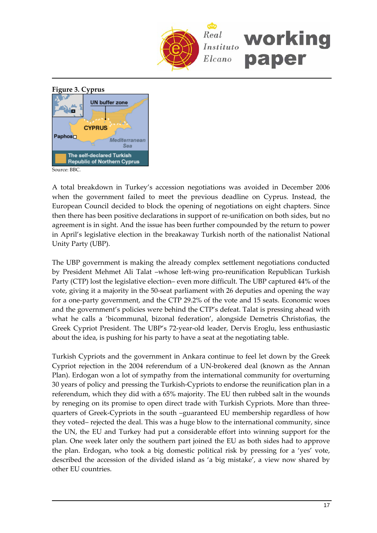



A total breakdown in Turkey's accession negotiations was avoided in December 2006 when the government failed to meet the previous deadline on Cyprus. Instead, the European Council decided to block the opening of negotiations on eight chapters. Since then there has been positive declarations in support of re-unification on both sides, but no agreement is in sight. And the issue has been further compounded by the return to power in April's legislative election in the breakaway Turkish north of the nationalist National Unity Party (UBP).

The UBP government is making the already complex settlement negotiations conducted by President Mehmet Ali Talat –whose left‐wing pro‐reunification Republican Turkish Party (CTP) lost the legislative election– even more difficult. The UBP captured 44% of the vote, giving it a majority in the 50‐seat parliament with 26 deputies and opening the way for a one‐party government, and the CTP 29.2% of the vote and 15 seats. Economic woes and the government's policies were behind the CTP's defeat. Talat is pressing ahead with what he calls a 'bicommunal, bizonal federation', alongside Demetris Christofias, the Greek Cypriot President. The UBP's 72‐year‐old leader, Dervis Eroglu, less enthusiastic about the idea, is pushing for his party to have a seat at the negotiating table.

Turkish Cypriots and the government in Ankara continue to feel let down by the Greek Cypriot rejection in the 2004 referendum of a UN‐brokered deal (known as the Annan Plan). Erdogan won a lot of sympathy from the international community for overturning 30 years of policy and pressing the Turkish‐Cypriots to endorse the reunification plan in a referendum, which they did with a 65% majority. The EU then rubbed salt in the wounds by reneging on its promise to open direct trade with Turkish Cypriots. More than three‐ quarters of Greek‐Cypriots in the south –guaranteed EU membership regardless of how they voted– rejected the deal. This was a huge blow to the international community, since the UN, the EU and Turkey had put a considerable effort into winning support for the plan. One week later only the southern part joined the EU as both sides had to approve the plan. Erdogan, who took a big domestic political risk by pressing for a 'yes' vote, described the accession of the divided island as 'a big mistake', a view now shared by other EU countries.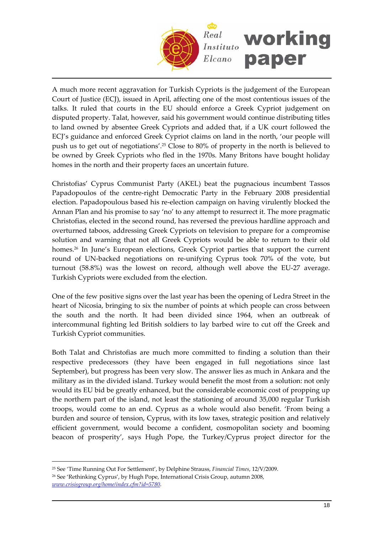

A much more recent aggravation for Turkish Cypriots is the judgement of the European Court of Justice (ECJ), issued in April, affecting one of the most contentious issues of the talks. It ruled that courts in the EU should enforce a Greek Cypriot judgement on disputed property. Talat, however, said his government would continue distributing titles to land owned by absentee Greek Cypriots and added that, if a UK court followed the ECJ's guidance and enforced Greek Cypriot claims on land in the north, 'our people will push us to get out of negotiations'.[25](#page-17-0) Close to 80% of property in the north is believed to be owned by Greek Cypriots who fled in the 1970s. Many Britons have bought holiday homes in the north and their property faces an uncertain future.

Christofias' Cyprus Communist Party (AKEL) beat the pugnacious incumbent Tassos Papadopoulos of the centre‐right Democratic Party in the February 2008 presidential election. Papadopoulous based his re‐election campaign on having virulently blocked the Annan Plan and his promise to say 'no' to any attempt to resurrect it. The more pragmatic Christofias, elected in the second round, has reversed the previous hardline approach and overturned taboos, addressing Greek Cypriots on television to prepare for a compromise solution and warning that not all Greek Cypriots would be able to return to their old homes.<sup>26</sup> In June's European elections, Greek Cypriot parties that support the current round of UN‐backed negotiations on re‐unifying Cyprus took 70% of the vote, but turnout (58.8%) was the lowest on record, although well above the EU‐27 average. Turkish Cypriots were excluded from the election.

One of the few positive signs over the last year has been the opening of Ledra Street in the heart of Nicosia, bringing to six the number of points at which people can cross between the south and the north. It had been divided since 1964, when an outbreak of intercommunal fighting led British soldiers to lay barbed wire to cut off the Greek and Turkish Cypriot communities.

Both Talat and Christofias are much more committed to finding a solution than their respective predecessors (they have been engaged in full negotiations since last September), but progress has been very slow. The answer lies as much in Ankara and the military as in the divided island. Turkey would benefit the most from a solution: not only would its EU bid be greatly enhanced, but the considerable economic cost of propping up the northern part of the island, not least the stationing of around 35,000 regular Turkish troops, would come to an end. Cyprus as a whole would also benefit. 'From being a burden and source of tension, Cyprus, with its low taxes, strategic position and relatively efficient government, would become a confident, cosmopolitan society and booming beacon of prosperity', says Hugh Pope, the Turkey/Cyprus project director for the

<span id="page-17-1"></span><span id="page-17-0"></span><sup>25</sup> See 'Time Running Out For Settlement', by Delphine Strauss, *Financial Times*, 12/V/2009. <sup>26</sup> See 'Rethinking Cyprus', by Hugh Pope, International Crisis Group, autumn 2008, *www.crisisgroup.org/home/index.cfm?id=5780*.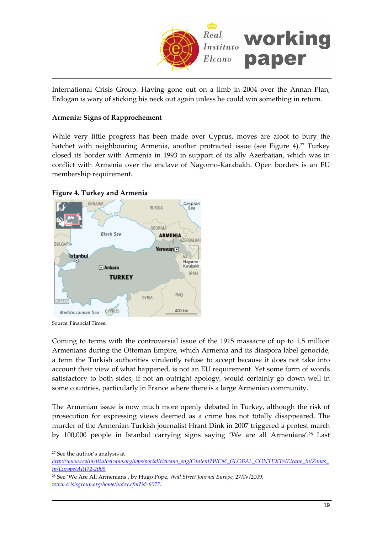

International Crisis Group. Having gone out on a limb in 2004 over the Annan Plan, Erdogan is wary of sticking his neck out again unless he could win something in return.

# **Armenia: Signs of Rapprochement**

While very little progress has been made over Cyprus, moves are afoot to bury the hatchet with neighbouring Armenia, another protracted issue (see Figure 4).<sup>[27](#page-18-0)</sup> Turkey closed its border with Armenia in 1993 in support of its ally Azerbaijan, which was in conflict with Armenia over the enclave of Nagorno‐Karabakh. Open borders is an EU membership requirement.

#### **Figure 4. Turkey and Armenia**



Source: Financial Times.

Coming to terms with the controversial issue of the 1915 massacre of up to 1.5 million Armenians during the Ottoman Empire, which Armenia and its diaspora label genocide, a term the Turkish authorities virulently refuse to accept because it does not take into account their view of what happened, is not an EU requirement. Yet some form of words satisfactory to both sides, if not an outright apology, would certainly go down well in some countries, particularly in France where there is a large Armenian community.

The Armenian issue is now much more openly debated in Turkey, although the risk of prosecution for expressing views deemed as a crime has not totally disappeared. The murder of the Armenian‐Turkish journalist Hrant Dink in 2007 triggered a protest march by 100,000 people in Istanbul carrying signs saying 'We are all Armenians'.[28](#page-18-1) Last

<span id="page-18-0"></span><sup>27</sup> See the author's analysis at

 $\overline{a}$ 

*http://www.realinstitutoelcano.org/wps/portal/rielcano\_eng/Content?WCM\_GLOBAL\_CONTEXT=/Elcano\_in/Zonas\_ in/Europe/ARI72‐2009.*

<span id="page-18-1"></span><sup>28</sup> See 'We Are All Armenians', by Hugo Pope, *Wall Street Journal Europe*, 27/IV/2009, *www.crisisgroup.org/home/index.cfm?id=6077.*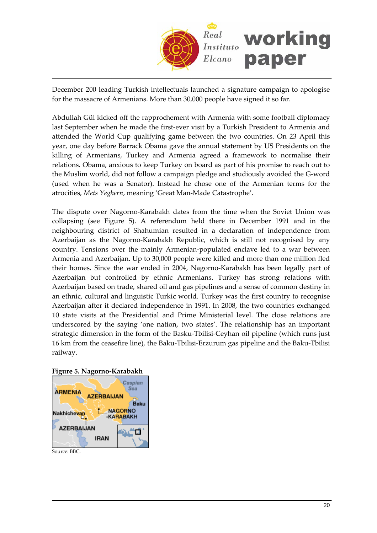

December 200 leading Turkish intellectuals launched a signature campaign to apologise for the massacre of Armenians. More than 30,000 people have signed it so far.

Abdullah Gül kicked off the rapprochement with Armenia with some football diplomacy last September when he made the first-ever visit by a Turkish President to Armenia and attended the World Cup qualifying game between the two countries. On 23 April this year, one day before Barrack Obama gave the annual statement by US Presidents on the killing of Armenians, Turkey and Armenia agreed a framework to normalise their relations. Obama, anxious to keep Turkey on board as part of his promise to reach out to the Muslim world, did not follow a campaign pledge and studiously avoided the G‐word (used when he was a Senator). Instead he chose one of the Armenian terms for the atrocities, *Mets Yeghern*, meaning 'Great Man‐Made Catastrophe'.

The dispute over Nagorno-Karabakh dates from the time when the Soviet Union was collapsing (see Figure 5). A referendum held there in December 1991 and in the neighbouring district of Shahumian resulted in a declaration of independence from Azerbaijan as the Nagorno‐Karabakh Republic, which is still not recognised by any country. Tensions over the mainly Armenian‐populated enclave led to a war between Armenia and Azerbaijan. Up to 30,000 people were killed and more than one million fled their homes. Since the war ended in 2004, Nagorno‐Karabakh has been legally part of Azerbaijan but controlled by ethnic Armenians. Turkey has strong relations with Azerbaijan based on trade, shared oil and gas pipelines and a sense of common destiny in an ethnic, cultural and linguistic Turkic world. Turkey was the first country to recognise Azerbaijan after it declared independence in 1991. In 2008, the two countries exchanged 10 state visits at the Presidential and Prime Ministerial level. The close relations are underscored by the saying 'one nation, two states'. The relationship has an important strategic dimension in the form of the Basku‐Tbilisi‐Ceyhan oil pipeline (which runs just 16 km from the ceasefire line), the Baku‐Tbilisi‐Erzurum gas pipeline and the Baku‐Tbilisi railway.





Source: BBC.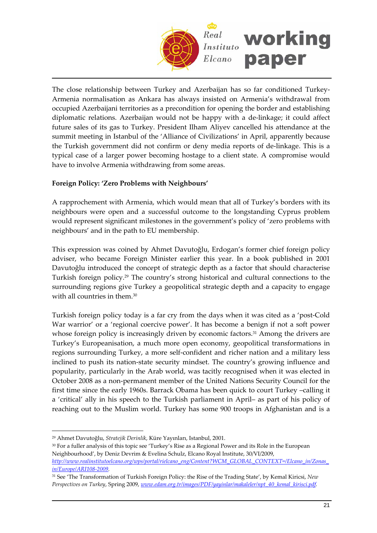

The close relationship between Turkey and Azerbaijan has so far conditioned Turkey‐ Armenia normalisation as Ankara has always insisted on Armenia's withdrawal from occupied Azerbaijani territories as a precondition for opening the border and establishing diplomatic relations. Azerbaijan would not be happy with a de‐linkage; it could affect future sales of its gas to Turkey. President Ilham Aliyev cancelled his attendance at the summit meeting in Istanbul of the 'Alliance of Civilizations' in April, apparently because the Turkish government did not confirm or deny media reports of de‐linkage. This is a typical case of a larger power becoming hostage to a client state. A compromise would have to involve Armenia withdrawing from some areas.

# **Foreign Policy: 'Zero Problems with Neighbours'**

A rapprochement with Armenia, which would mean that all of Turkey's borders with its neighbours were open and a successful outcome to the longstanding Cyprus problem would represent significant milestones in the government's policy of 'zero problems with neighbours' and in the path to EU membership.

This expression was coined by Ahmet Davutoğlu, Erdogan's former chief foreign policy adviser, who became Foreign Minister earlier this year. In a book published in 2001 Davutoğlu introduced the concept of strategic depth as a factor that should characterise Turkish foreign policy.[29](#page-20-0) The country's strong historical and cultural connections to the surrounding regions give Turkey a geopolitical strategic depth and a capacity to engage with all countries in them.<sup>[30](#page-20-1)</sup>

Turkish foreign policy today is a far cry from the days when it was cited as a 'post‐Cold War warrior' or a 'regional coercive power'. It has become a benign if not a soft power whose foreign policy is increasingly driven by economic factors.<sup>[31](#page-20-2)</sup> Among the drivers are Turkey's Europeanisation, a much more open economy, geopolitical transformations in regions surrounding Turkey, a more self‐confident and richer nation and a military less inclined to push its nation‐state security mindset. The country's growing influence and popularity, particularly in the Arab world, was tacitly recognised when it was elected in October 2008 as a non‐permanent member of the United Nations Security Council for the first time since the early 1960s. Barrack Obama has been quick to court Turkey –calling it a 'critical' ally in his speech to the Turkish parliament in April– as part of his policy of reaching out to the Muslim world. Turkey has some 900 troops in Afghanistan and is a

 $\overline{a}$ 

<span id="page-20-1"></span><sup>30</sup> For a fuller analysis of this topic see 'Turkey's Rise as a Regional Power and its Role in the European Neighbourhood', by Deniz Devrim & Evelina Schulz, Elcano Royal Institute, 30/VI/2009, *http://www.realinstitutoelcano.org/wps/portal/rielcano\_eng/Content?WCM\_GLOBAL\_CONTEXT=/Elcano\_in/Zonas\_ in/Europe/ARI108‐2009.*

<span id="page-20-0"></span><sup>29</sup> Ahmet Davutoğlu, *Stratejik Derinlik*, Küre Yayınları, Istanbul, 2001.

<span id="page-20-2"></span><sup>31</sup> See 'The Transformation of Turkish Foreign Policy: the Rise of the Trading State', by Kemal Kiricsi, *New Perspectives on Turkey*, Spring 2009, *www.edam.org.tr/images/PDF/yayinlar/makaleler/npt\_40\_kemal\_kirisci.pdf.*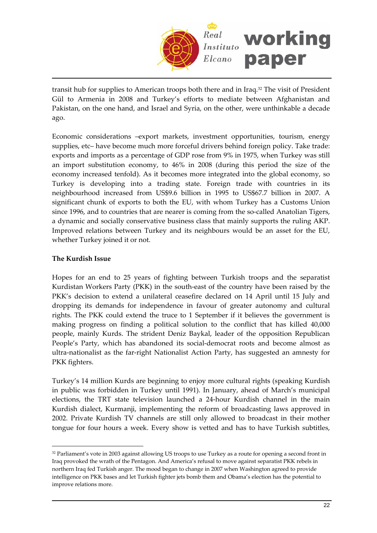

transit hub for supplies to American troops both there and in Iraq[.32](#page-21-0) The visit of President Gül to Armenia in 2008 and Turkey's efforts to mediate between Afghanistan and Pakistan, on the one hand, and Israel and Syria, on the other, were unthinkable a decade ago.

Economic considerations –export markets, investment opportunities, tourism, energy supplies, etc– have become much more forceful drivers behind foreign policy. Take trade: exports and imports as a percentage of GDP rose from 9% in 1975, when Turkey was still an import substitution economy, to 46% in 2008 (during this period the size of the economy increased tenfold). As it becomes more integrated into the global economy, so Turkey is developing into a trading state. Foreign trade with countries in its neighbourhood increased from US\$9.6 billion in 1995 to US\$67.7 billion in 2007. A significant chunk of exports to both the EU, with whom Turkey has a Customs Union since 1996, and to countries that are nearer is coming from the so-called Anatolian Tigers, a dynamic and socially conservative business class that mainly supports the ruling AKP. Improved relations between Turkey and its neighbours would be an asset for the EU, whether Turkey joined it or not.

# **The Kurdish Issue**

 $\overline{a}$ 

Hopes for an end to 25 years of fighting between Turkish troops and the separatist Kurdistan Workers Party (PKK) in the south‐east of the country have been raised by the PKK's decision to extend a unilateral ceasefire declared on 14 April until 15 July and dropping its demands for independence in favour of greater autonomy and cultural rights. The PKK could extend the truce to 1 September if it believes the government is making progress on finding a political solution to the conflict that has killed 40,000 people, mainly Kurds. The strident Deniz Baykal, leader of the opposition Republican People's Party, which has abandoned its social-democrat roots and become almost as ultra‐nationalist as the far‐right Nationalist Action Party, has suggested an amnesty for PKK fighters.

Turkey's 14 million Kurds are beginning to enjoy more cultural rights (speaking Kurdish in public was forbidden in Turkey until 1991). In January, ahead of March's municipal elections, the TRT state television launched a 24‐hour Kurdish channel in the main Kurdish dialect, Kurmanji, implementing the reform of broadcasting laws approved in 2002. Private Kurdish TV channels are still only allowed to broadcast in their mother tongue for four hours a week. Every show is vetted and has to have Turkish subtitles,

<span id="page-21-0"></span><sup>&</sup>lt;sup>32</sup> Parliament's vote in 2003 against allowing US troops to use Turkey as a route for opening a second front in Iraq provoked the wrath of the Pentagon. And America's refusal to move against separatist PKK rebels in northern Iraq fed Turkish anger. The mood began to change in 2007 when Washington agreed to provide intelligence on PKK bases and let Turkish fighter jets bomb them and Obama's election has the potential to improve relations more.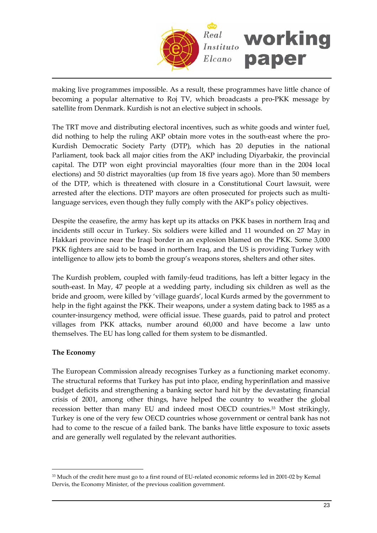

making live programmes impossible. As a result, these programmes have little chance of becoming a popular alternative to Roj TV, which broadcasts a pro‐PKK message by satellite from Denmark. Kurdish is not an elective subject in schools.

The TRT move and distributing electoral incentives, such as white goods and winter fuel, did nothing to help the ruling AKP obtain more votes in the south-east where the pro-Kurdish Democratic Society Party (DTP), which has 20 deputies in the national Parliament, took back all major cities from the AKP including Diyarbakir, the provincial capital. The DTP won eight provincial mayoralties (four more than in the 2004 local elections) and 50 district mayoralties (up from 18 five years ago). More than 50 members of the DTP, which is threatened with closure in a Constitutional Court lawsuit, were arrested after the elections. DTP mayors are often prosecuted for projects such as multilanguage services, even though they fully comply with the AKP's policy objectives.

Despite the ceasefire, the army has kept up its attacks on PKK bases in northern Iraq and incidents still occur in Turkey. Six soldiers were killed and 11 wounded on 27 May in Hakkari province near the Iraqi border in an explosion blamed on the PKK. Some 3,000 PKK fighters are said to be based in northern Iraq, and the US is providing Turkey with intelligence to allow jets to bomb the group's weapons stores, shelters and other sites.

The Kurdish problem, coupled with family‐feud traditions, has left a bitter legacy in the south‐east. In May, 47 people at a wedding party, including six children as well as the bride and groom, were killed by 'village guards', local Kurds armed by the government to help in the fight against the PKK. Their weapons, under a system dating back to 1985 as a counter-insurgency method, were official issue. These guards, paid to patrol and protect villages from PKK attacks, number around 60,000 and have become a law unto themselves. The EU has long called for them system to be dismantled.

# **The Economy**

 $\overline{a}$ 

The European Commission already recognises Turkey as a functioning market economy. The structural reforms that Turkey has put into place, ending hyperinflation and massive budget deficits and strengthening a banking sector hard hit by the devastating financial crisis of 2001, among other things, have helped the country to weather the global recession better than many EU and indeed most OECD countries.[33](#page-22-0) Most strikingly, Turkey is one of the very few OECD countries whose government or central bank has not had to come to the rescue of a failed bank. The banks have little exposure to toxic assets and are generally well regulated by the relevant authorities.

<span id="page-22-0"></span><sup>&</sup>lt;sup>33</sup> Much of the credit here must go to a first round of EU-related economic reforms led in 2001-02 by Kemal Dervis, the Economy Minister, of the previous coalition government.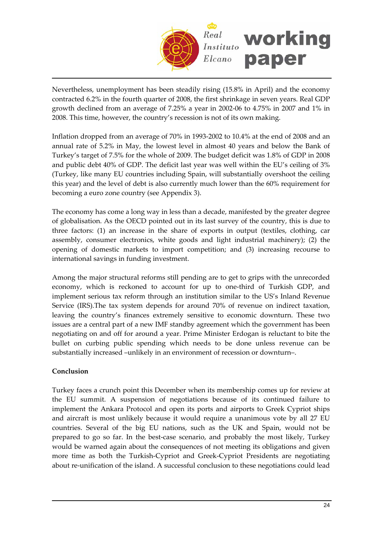

Nevertheless, unemployment has been steadily rising (15.8% in April) and the economy contracted 6.2% in the fourth quarter of 2008, the first shrinkage in seven years. Real GDP growth declined from an average of 7.25% a year in 2002‐06 to 4.75% in 2007 and 1% in 2008. This time, however, the country's recession is not of its own making.

Inflation dropped from an average of 70% in 1993‐2002 to 10.4% at the end of 2008 and an annual rate of 5.2% in May, the lowest level in almost 40 years and below the Bank of Turkey's target of 7.5% for the whole of 2009. The budget deficit was 1.8% of GDP in 2008 and public debt 40% of GDP. The deficit last year was well within the EU's ceiling of 3% (Turkey, like many EU countries including Spain, will substantially overshoot the ceiling this year) and the level of debt is also currently much lower than the 60% requirement for becoming a euro zone country (see Appendix 3).

The economy has come a long way in less than a decade, manifested by the greater degree of globalisation. As the OECD pointed out in its last survey of the country, this is due to three factors: (1) an increase in the share of exports in output (textiles, clothing, car assembly, consumer electronics, white goods and light industrial machinery); (2) the opening of domestic markets to import competition; and (3) increasing recourse to international savings in funding investment.

Among the major structural reforms still pending are to get to grips with the unrecorded economy, which is reckoned to account for up to one‐third of Turkish GDP, and implement serious tax reform through an institution similar to the US's Inland Revenue Service (IRS).The tax system depends for around 70% of revenue on indirect taxation, leaving the country's finances extremely sensitive to economic downturn. These two issues are a central part of a new IMF standby agreement which the government has been negotiating on and off for around a year. Prime Minister Erdogan is reluctant to bite the bullet on curbing public spending which needs to be done unless revenue can be substantially increased –unlikely in an environment of recession or downturn–.

# **Conclusion**

Turkey faces a crunch point this December when its membership comes up for review at the EU summit. A suspension of negotiations because of its continued failure to implement the Ankara Protocol and open its ports and airports to Greek Cypriot ships and aircraft is most unlikely because it would require a unanimous vote by all 27 EU countries. Several of the big EU nations, such as the UK and Spain, would not be prepared to go so far. In the best‐case scenario, and probably the most likely, Turkey would be warned again about the consequences of not meeting its obligations and given more time as both the Turkish‐Cypriot and Greek‐Cypriot Presidents are negotiating about re-unification of the island. A successful conclusion to these negotiations could lead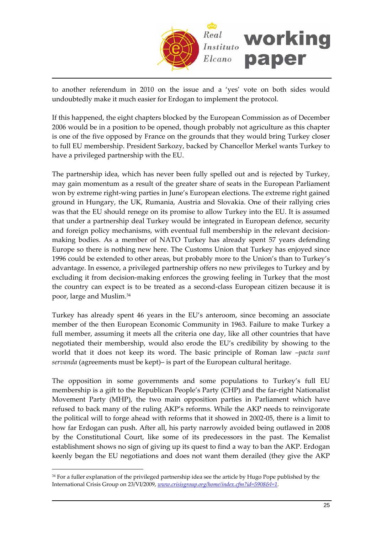

to another referendum in 2010 on the issue and a 'yes' vote on both sides would undoubtedly make it much easier for Erdogan to implement the protocol.

If this happened, the eight chapters blocked by the European Commission as of December 2006 would be in a position to be opened, though probably not agriculture as this chapter is one of the five opposed by France on the grounds that they would bring Turkey closer to full EU membership. President Sarkozy, backed by Chancellor Merkel wants Turkey to have a privileged partnership with the EU.

The partnership idea, which has never been fully spelled out and is rejected by Turkey, may gain momentum as a result of the greater share of seats in the European Parliament won by extreme right-wing parties in June's European elections. The extreme right gained ground in Hungary, the UK, Rumania, Austria and Slovakia. One of their rallying cries was that the EU should renege on its promise to allow Turkey into the EU. It is assumed that under a partnership deal Turkey would be integrated in European defence, security and foreign policy mechanisms, with eventual full membership in the relevant decisionmaking bodies. As a member of NATO Turkey has already spent 57 years defending Europe so there is nothing new here. The Customs Union that Turkey has enjoyed since 1996 could be extended to other areas, but probably more to the Union's than to Turkey's advantage. In essence, a privileged partnership offers no new privileges to Turkey and by excluding it from decision‐making enforces the growing feeling in Turkey that the most the country can expect is to be treated as a second‐class European citizen because it is poor, large and Muslim.[34](#page-24-0)

Turkey has already spent 46 years in the EU's anteroom, since becoming an associate member of the then European Economic Community in 1963. Failure to make Turkey a full member, assuming it meets all the criteria one day, like all other countries that have negotiated their membership, would also erode the EU's credibility by showing to the world that it does not keep its word. The basic principle of Roman law –*pacta sunt servanda* (agreements must be kept)– is part of the European cultural heritage.

The opposition in some governments and some populations to Turkey's full EU membership is a gift to the Republican People's Party (CHP) and the far‐right Nationalist Movement Party (MHP), the two main opposition parties in Parliament which have refused to back many of the ruling AKP's reforms. While the AKP needs to reinvigorate the political will to forge ahead with reforms that it showed in 2002‐05, there is a limit to how far Erdogan can push. After all, his party narrowly avoided being outlawed in 2008 by the Constitutional Court, like some of its predecessors in the past. The Kemalist establishment shows no sign of giving up its quest to find a way to ban the AKP. Erdogan keenly began the EU negotiations and does not want them derailed (they give the AKP

<span id="page-24-0"></span><sup>&</sup>lt;sup>34</sup> For a fuller explanation of the privileged partnership idea see the article by Hugo Pope published by the International Crisis Group on 23/VI/2009, *www.crisisgroup.org/home/index.cfm?id=5908&l=1*.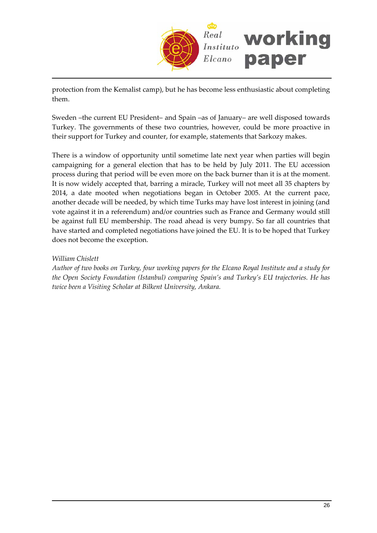

protection from the Kemalist camp), but he has become less enthusiastic about completing them.

Sweden –the current EU President– and Spain –as of January– are well disposed towards Turkey. The governments of these two countries, however, could be more proactive in their support for Turkey and counter, for example, statements that Sarkozy makes.

There is a window of opportunity until sometime late next year when parties will begin campaigning for a general election that has to be held by July 2011. The EU accession process during that period will be even more on the back burner than it is at the moment. It is now widely accepted that, barring a miracle, Turkey will not meet all 35 chapters by 2014, a date mooted when negotiations began in October 2005. At the current pace, another decade will be needed, by which time Turks may have lost interest in joining (and vote against it in a referendum) and/or countries such as France and Germany would still be against full EU membership. The road ahead is very bumpy. So far all countries that have started and completed negotiations have joined the EU. It is to be hoped that Turkey does not become the exception.

# *William Chislett*

*Author of two books on Turkey, four working papers for the Elcano Royal Institute and a study for the Open Society Foundation (Istanbul) comparing Spain's and Turkey's EU trajectories. He has twice been a Visiting Scholar at Bilkent University, Ankara.*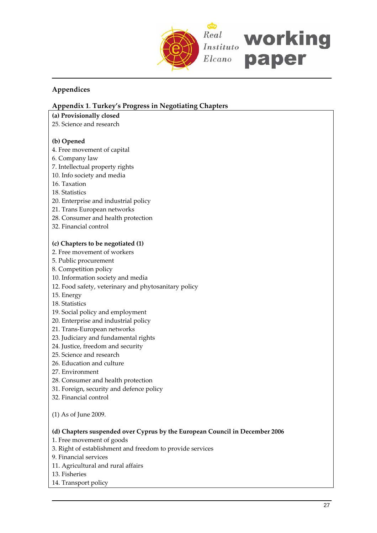

# **Appendices**

# **Appendix 1**. **Turkey's Progress in Negotiating Chapters**

- **(a) Provisionally closed**
- 25. Science and research

## **(b) Opened**

- 4. Free movement of capital
- 6. Company law
- 7. Intellectual property rights
- 10. Info society and media
- 16. Taxation
- 18. Statistics
- 20. Enterprise and industrial policy
- 21. Trans European networks
- 28. Consumer and health protection
- 32. Financial control

## **(c) Chapters to be negotiated (1)**

- 2. Free movement of workers
- 5. Public procurement
- 8. Competition policy
- 10. Information society and media
- 12. Food safety, veterinary and phytosanitary policy
- 15. Energy
- 18. Statistics
- 19. Social policy and employment
- 20. Enterprise and industrial policy
- 21. Trans‐European networks
- 23. Judiciary and fundamental rights
- 24. Justice, freedom and security
- 25. Science and research
- 26. Education and culture
- 27. Environment
- 28. Consumer and health protection
- 31. Foreign, security and defence policy
- 32. Financial control
- (1) As of June 2009.

## **(d) Chapters suspended over Cyprus by the European Council in December 2006**

- 1. Free movement of goods
- 3. Right of establishment and freedom to provide services
- 9. Financial services
- 11. Agricultural and rural affairs
- 13. Fisheries
- 14. Transport policy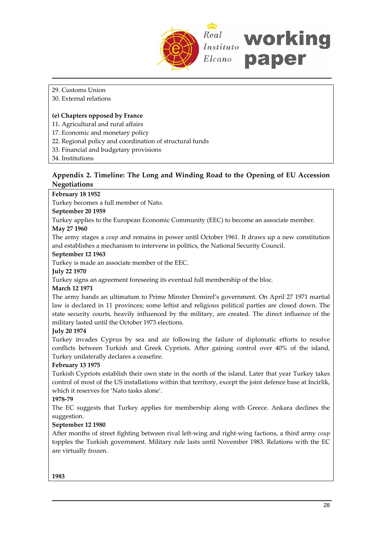

## 29. Customs Union

#### 30. External relations

#### **(e) Chapters opposed by France**

- 11. Agricultural and rural affairs
- 17. Economic and monetary policy
- 22. Regional policy and coordination of structural funds
- 33. Financial and budgetary provisions
- 34. Institutions

# **Appendix 2. Timeline: The Long and Winding Road to the Opening of EU Accession Negotiations**

# **February 18 1952**

Turkey becomes a full member of Nato.

#### **September 20 1959**

Turkey applies to the European Economic Community (EEC) to become an associate member. **May 27 1960**

The army stages a *coup* and remains in power until October 1961. It draws up a new constitution and establishes a mechanism to intervene in politics, the National Security Council.

#### **September 12 1963**

Turkey is made an associate member of the EEC.

**July 22 1970**

Turkey signs an agreement foreseeing its eventual full membership of the bloc.

#### **March 12 1971**

The army hands an ultimatum to Prime Minster Demirel's government. On April 27 1971 martial law is declared in 11 provinces; some leftist and religious political parties are closed down. The state security courts, heavily influenced by the military, are created. The direct influence of the military lasted until the October 1973 elections.

## **July 20 1974**

Turkey invades Cyprus by sea and air following the failure of diplomatic efforts to resolve conflicts between Turkish and Greek Cypriots. After gaining control over 40% of the island, Turkey unilaterally declares a ceasefire.

## **February 13 1975**

Turkish Cypriots establish their own state in the north of the island. Later that year Turkey takes control of most of the US installations within that territory, except the joint defence base at Incirlik, which it reserves for 'Nato tasks alone'.

## **1978‐79**

The EC suggests that Turkey applies for membership along with Greece. Ankara declines the suggestion.

## **September 12 1980**

After months of street fighting between rival left‐wing and right‐wing factions, a third army *coup* topples the Turkish government. Military rule lasts until November 1983. Relations with the EC are virtually frozen.

**1983**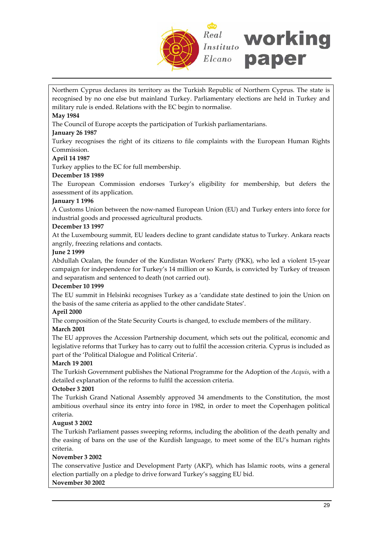

Northern Cyprus declares its territory as the Turkish Republic of Northern Cyprus. The state is recognised by no one else but mainland Turkey. Parliamentary elections are held in Turkey and military rule is ended. Relations with the EC begin to normalise.

### **May 1984**

The Council of Europe accepts the participation of Turkish parliamentarians.

#### **January 26 1987**

Turkey recognises the right of its citizens to file complaints with the European Human Rights Commission.

#### **April 14 1987**

Turkey applies to the EC for full membership.

#### **December 18 1989**

The European Commission endorses Turkey's eligibility for membership, but defers the assessment of its application.

#### **January 1 1996**

A Customs Union between the now‐named European Union (EU) and Turkey enters into force for industrial goods and processed agricultural products.

#### **December 13 1997**

At the Luxembourg summit, EU leaders decline to grant candidate status to Turkey. Ankara reacts angrily, freezing relations and contacts.

#### **June 2 1999**

Abdullah Ocalan, the founder of the Kurdistan Workers' Party (PKK), who led a violent 15‐year campaign for independence for Turkey's 14 million or so Kurds, is convicted by Turkey of treason and separatism and sentenced to death (not carried out).

#### **December 10 1999**

The EU summit in Helsinki recognises Turkey as a 'candidate state destined to join the Union on the basis of the same criteria as applied to the other candidate States'.

#### **April 2000**

The composition of the State Security Courts is changed, to exclude members of the military.

#### **March 2001**

The EU approves the Accession Partnership document, which sets out the political, economic and legislative reforms that Turkey has to carry out to fulfil the accession criteria. Cyprus is included as part of the 'Political Dialogue and Political Criteria'.

#### **March 19 2001**

The Turkish Government publishes the National Programme for the Adoption of the *Acquis*, with a detailed explanation of the reforms to fulfil the accession criteria.

#### **October 3 2001**

The Turkish Grand National Assembly approved 34 amendments to the Constitution, the most ambitious overhaul since its entry into force in 1982, in order to meet the Copenhagen political criteria.

## **August 3 2002**

The Turkish Parliament passes sweeping reforms, including the abolition of the death penalty and the easing of bans on the use of the Kurdish language, to meet some of the EU's human rights criteria.

#### **November 3 2002**

The conservative Justice and Development Party (AKP), which has Islamic roots, wins a general election partially on a pledge to drive forward Turkey's sagging EU bid.

# **November 30 2002**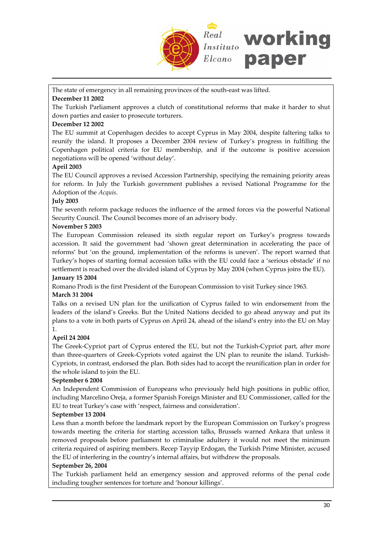

The state of emergency in all remaining provinces of the south-east was lifted.

## **December 11 2002**

The Turkish Parliament approves a clutch of constitutional reforms that make it harder to shut down parties and easier to prosecute torturers.

## **December 12 2002**

The EU summit at Copenhagen decides to accept Cyprus in May 2004, despite faltering talks to reunify the island. It proposes a December 2004 review of Turkey's progress in fulfilling the Copenhagen political criteria for EU membership, and if the outcome is positive accession negotiations will be opened 'without delay'.

# **April 2003**

The EU Council approves a revised Accession Partnership, specifying the remaining priority areas for reform. In July the Turkish government publishes a revised National Programme for the Adoption of the *Acquis*.

## **July 2003**

The seventh reform package reduces the influence of the armed forces via the powerful National Security Council. The Council becomes more of an advisory body.

# **November 5 2003**

The European Commission released its sixth regular report on Turkey's progress towards accession. It said the government had 'shown great determination in accelerating the pace of reforms' but 'on the ground, implementation of the reforms is uneven'. The report warned that Turkey's hopes of starting formal accession talks with the EU could face a 'serious obstacle' if no settlement is reached over the divided island of Cyprus by May 2004 (when Cyprus joins the EU). **January 15 2004**

Romano Prodi is the first President of the European Commission to visit Turkey since 1963.

# **March 31 2004**

Talks on a revised UN plan for the unification of Cyprus failed to win endorsement from the leaders of the island's Greeks. But the United Nations decided to go ahead anyway and put its plans to a vote in both parts of Cyprus on April 24, ahead of the island's entry into the EU on May 1.

# **April 24 2004**

The Greek‐Cypriot part of Cyprus entered the EU, but not the Turkish‐Cypriot part, after more than three-quarters of Greek-Cypriots voted against the UN plan to reunite the island. Turkish-Cypriots, in contrast, endorsed the plan. Both sides had to accept the reunification plan in order for the whole island to join the EU.

## **September 6 2004**

An Independent Commission of Europeans who previously held high positions in public office, including Marcelino Oreja, a former Spanish Foreign Minister and EU Commissioner, called for the EU to treat Turkey's case with 'respect, fairness and consideration'.

## **September 13 2004**

Less than a month before the landmark report by the European Commission on Turkey's progress towards meeting the criteria for starting accession talks, Brussels warned Ankara that unless it removed proposals before parliament to criminalise adultery it would not meet the minimum criteria required of aspiring members. Recep Tayyip Erdogan, the Turkish Prime Minister, accused the EU of interfering in the country's internal affairs, but withdrew the proposals.

## **September 26, 2004**

The Turkish parliament held an emergency session and approved reforms of the penal code including tougher sentences for torture and 'honour killings'.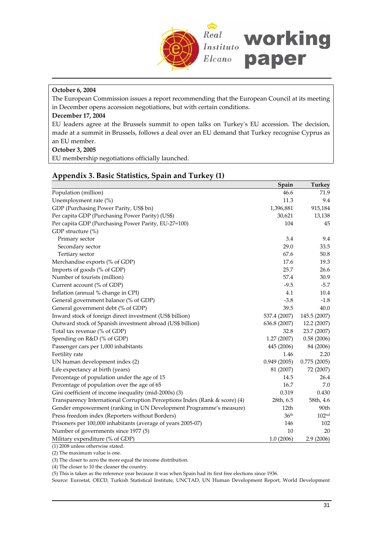

# **October 6, 2004**

The European Commission issues a report recommending that the European Council at its meeting in December opens accession negotiations, but with certain conditions.

#### **December 17, 2004**

EU leaders agree at the Brussels summit to open talks on Turkeyʹs EU accession. The decision, made at a summit in Brussels, follows a deal over an EU demand that Turkey recognise Cyprus as an EU member.

#### **October 3, 2005**

EU membership negotiations officially launched.

# **Appendix 3. Basic Statistics, Spain and Turkey (1)**

|                                                                            | Spain            | <b>Turkey</b>     |
|----------------------------------------------------------------------------|------------------|-------------------|
| Population (million)                                                       | 46.6             | 71.9              |
| Unemployment rate (%)                                                      | 11.3             | 9.4               |
| GDP (Purchasing Power Parity, US\$ bn)                                     | 1,396,881        | 915,184           |
| Per capita GDP (Purchasing Power Parity) (US\$)                            | 30,621           | 13,138            |
| Per capita GDP (Purchasing Power Parity, EU-27=100)                        | 104              | 45                |
| GDP structure (%)                                                          |                  |                   |
| Primary sector                                                             | 3.4              | 9.4               |
| Secondary sector                                                           | 29.0             | 33.5              |
| Tertiary sector                                                            | 67.6             | 50.8              |
| Merchandise exports (% of GDP)                                             | 17.6             | 19.3              |
| Imports of goods (% of GDP)                                                | 25.7             | 26.6              |
| Number of tourists (million)                                               | 57.4             | 30.9              |
| Current account (% of GDP)                                                 | $-9.5$           | $-5.7$            |
| Inflation (annual % change in CPI)                                         | 4.1              | 10.4              |
| General government balance (% of GDP)                                      | $-3.8$           | $-1.8$            |
| General government debt (% of GDP)                                         | 39.5             | 40.0              |
| Inward stock of foreign direct investment (US\$ billion)                   | 537.4 (2007)     | 145.5 (2007)      |
| Outward stock of Spanish investment abroad (US\$ billion)                  | 636.8 (2007)     | 12.2 (2007)       |
| Total tax revenue (% of GDP)                                               | 32.8             | 23.7 (2007)       |
| Spending on R&D (% of GDP)                                                 | 1.27(2007)       | 0.58(2006)        |
| Passenger cars per 1,000 inhabitants                                       | 445 (2006)       | 84 (2006)         |
| Fertility rate                                                             | 1.46             | 2.20              |
| UN human development index (2)                                             | 0.949(2005)      | 0.775(2005)       |
| Life expectancy at birth (years)                                           | 81 (2007)        | 72 (2007)         |
| Percentage of population under the age of 15                               | 14.5             | 26.4              |
| Percentage of population over the age of 65                                | 16.7             | 7.0               |
| Gini coefficient of income inequality (mid-2000s) (3)                      | 0.319            | 0.430             |
| Transparency International Corruption Perceptions Index (Rank & score) (4) | 28th, 6.5        | 58th, 4.6         |
| Gender empowerment (ranking in UN Development Programme's measure)         | 12th             | 90th              |
| Press freedom index (Reporters without Borders)                            | 36 <sup>th</sup> | 102 <sup>nd</sup> |
| Prisoners per 100,000 inhabitants (average of years 2005-07)               | 146              | 102               |
| Number of governments since 1977 (5)                                       | 10               | 20                |
| Military expenditure (% of GDP)                                            | 1.0(2006)        | 2.9 (2006)        |

(1) 2008 unless otherwise stated.

(2) The maximum value is one.

(3) The closer to zero the more equal the income distribution.

(4) The closer to 10 the cleaner the country.

(5) This is taken as the reference year because it was when Spain had its first free elections since 1936.

Source: Eurostat, OECD, Turkish Statistical Institute, UNCTAD, UN Human Development Report, World Development